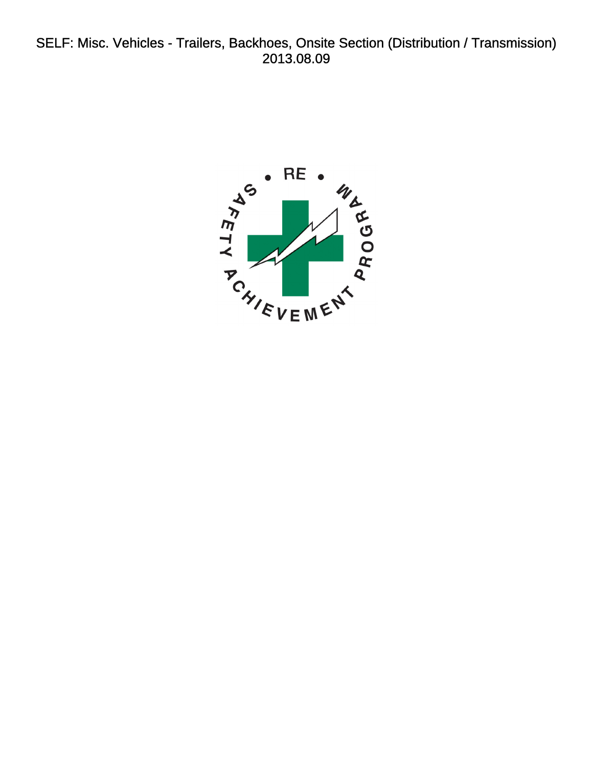<span id="page-0-0"></span>SELF: Misc. Vehicles - Trailers, Backhoes, Onsite Section (Distribution / Transmission) 2013.08.09

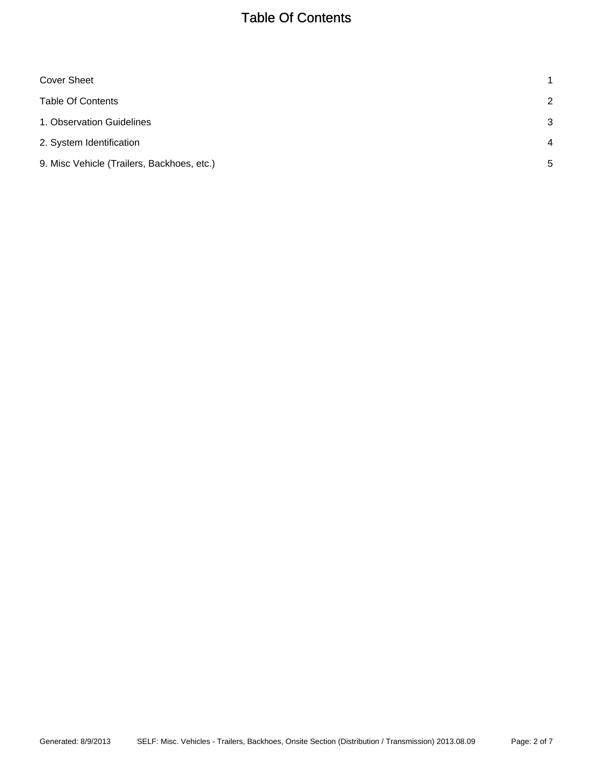# Table Of Contents

<span id="page-1-0"></span>

| <b>Cover Sheet</b>                         | 1              |
|--------------------------------------------|----------------|
| <b>Table Of Contents</b>                   | 2              |
| 1. Observation Guidelines                  | 3              |
| 2. System Identification                   | $\overline{4}$ |
| 9. Misc Vehicle (Trailers, Backhoes, etc.) | 5              |
|                                            |                |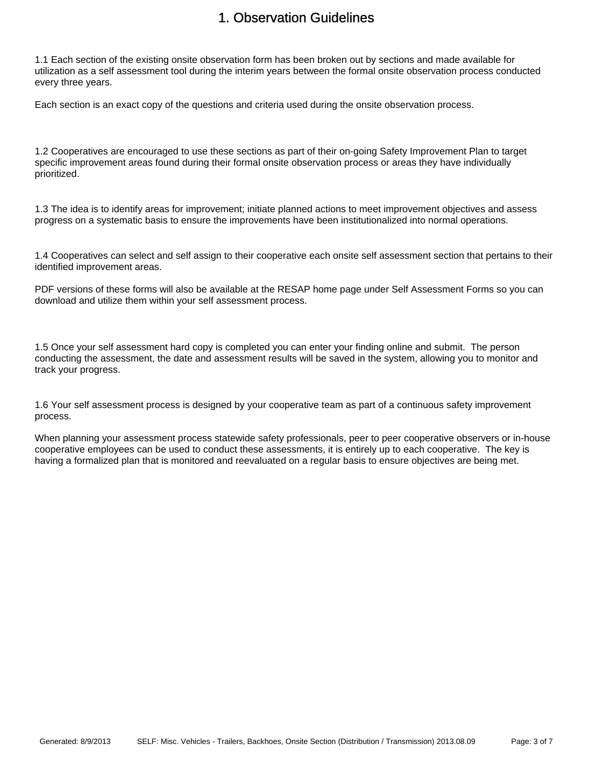#### 1. Observation Guidelines

<span id="page-2-0"></span>1.1 Each section of the existing onsite observation form has been broken out by sections and made available for utilization as a self assessment tool during the interim years between the formal onsite observation process conducted every three years.

Each section is an exact copy of the questions and criteria used during the onsite observation process.

1.2 Cooperatives are encouraged to use these sections as part of their on-going Safety Improvement Plan to target specific improvement areas found during their formal onsite observation process or areas they have individually prioritized.

1.3 The idea is to identify areas for improvement; initiate planned actions to meet improvement objectives and assess progress on a systematic basis to ensure the improvements have been institutionalized into normal operations.

1.4 Cooperatives can select and self assign to their cooperative each onsite self assessment section that pertains to their identified improvement areas.

PDF versions of these forms will also be available at the RESAP home page under Self Assessment Forms so you can download and utilize them within your self assessment process.

1.5 Once your self assessment hard copy is completed you can enter your finding online and submit. The person conducting the assessment, the date and assessment results will be saved in the system, allowing you to monitor and track your progress.

1.6 Your self assessment process is designed by your cooperative team as part of a continuous safety improvement process.

When planning your assessment process statewide safety professionals, peer to peer cooperative observers or in-house cooperative employees can be used to conduct these assessments, it is entirely up to each cooperative. The key is having a formalized plan that is monitored and reevaluated on a regular basis to ensure objectives are being met.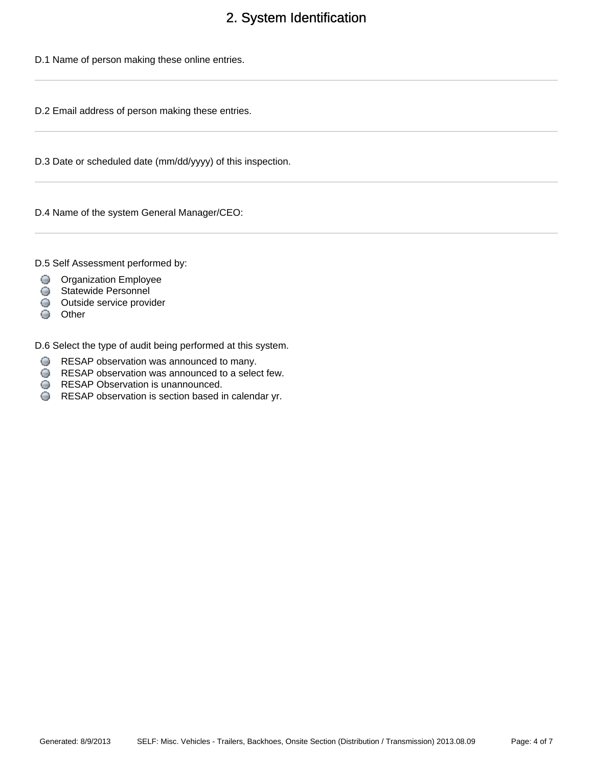# 2. System Identification

<span id="page-3-0"></span>D.1 Name of person making these online entries.

D.2 Email address of person making these entries.

D.3 Date or scheduled date (mm/dd/yyyy) of this inspection.

D.4 Name of the system General Manager/CEO:

D.5 Self Assessment performed by:

- **O** Organization Employee
- Statewide Personnel
- Outside service provider
- Other

D.6 Select the type of audit being performed at this system.

- RESAP observation was announced to many.
- RESAP observation was announced to a select few.
- **RESAP Observation is unannounced.**
- RESAP observation is section based in calendar yr.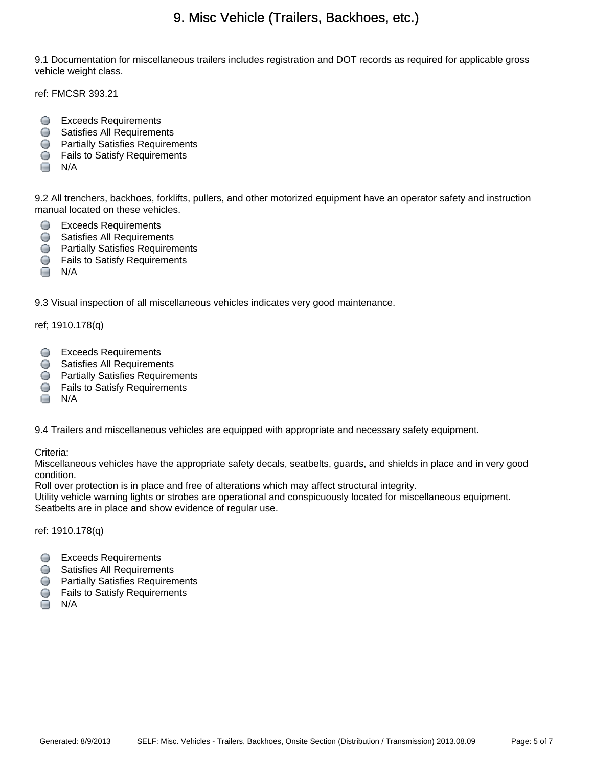### 9. Misc Vehicle (Trailers, Backhoes, etc.)

<span id="page-4-0"></span>9.1 Documentation for miscellaneous trailers includes registration and DOT records as required for applicable gross vehicle weight class.

ref: FMCSR 393.21

- **Exceeds Requirements**
- **Satisfies All Requirements**
- **Partially Satisfies Requirements**
- **S** Fails to Satisfy Requirements
- $\Box$  N/A

9.2 All trenchers, backhoes, forklifts, pullers, and other motorized equipment have an operator safety and instruction manual located on these vehicles.

- **Exceeds Requirements**
- **Satisfies All Requirements**
- **Partially Satisfies Requirements**
- **C** Fails to Satisfy Requirements
- $\Box$  N/A

9.3 Visual inspection of all miscellaneous vehicles indicates very good maintenance.

ref; 1910.178(q)

- **Exceeds Requirements**
- Satisfies All Requirements
- **Partially Satisfies Requirements**
- **G** Fails to Satisfy Requirements
- $\Box$  N/A

9.4 Trailers and miscellaneous vehicles are equipped with appropriate and necessary safety equipment.

Criteria:

Miscellaneous vehicles have the appropriate safety decals, seatbelts, guards, and shields in place and in very good condition.

Roll over protection is in place and free of alterations which may affect structural integrity.

Utility vehicle warning lights or strobes are operational and conspicuously located for miscellaneous equipment. Seatbelts are in place and show evidence of regular use.

ref: 1910.178(q)

- Exceeds Requirements
- **Satisfies All Requirements**
- **Partially Satisfies Requirements**
- **G** Fails to Satisfy Requirements
- $\Box$  N/A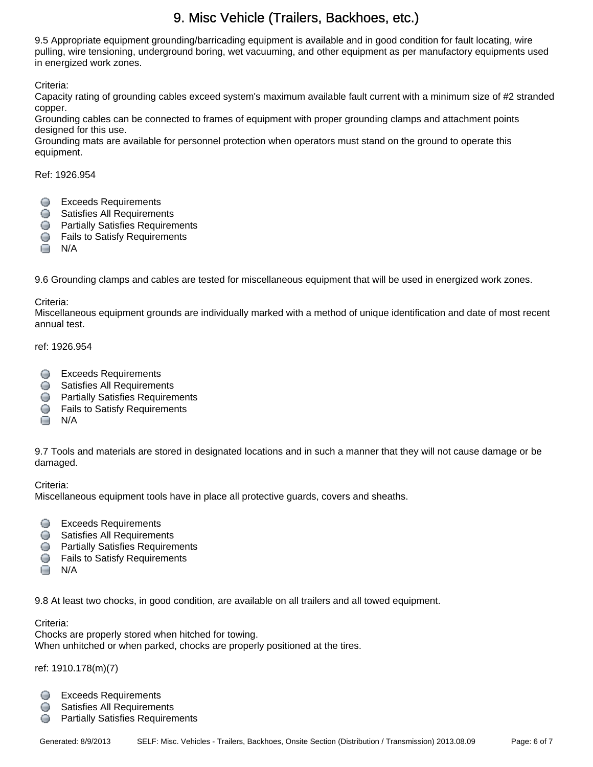# 9. Misc Vehicle (Trailers, Backhoes, etc.)

9.5 Appropriate equipment grounding/barricading equipment is available and in good condition for fault locating, wire pulling, wire tensioning, underground boring, wet vacuuming, and other equipment as per manufactory equipments used in energized work zones.

Criteria:

Capacity rating of grounding cables exceed system's maximum available fault current with a minimum size of #2 stranded copper.

Grounding cables can be connected to frames of equipment with proper grounding clamps and attachment points designed for this use.

Grounding mats are available for personnel protection when operators must stand on the ground to operate this equipment.

Ref: 1926.954

- **Exceeds Requirements**
- **Satisfies All Requirements**
- **Partially Satisfies Requirements**
- **S** Fails to Satisfy Requirements
- $\Box$  N/A

9.6 Grounding clamps and cables are tested for miscellaneous equipment that will be used in energized work zones.

Criteria:

Miscellaneous equipment grounds are individually marked with a method of unique identification and date of most recent annual test.

ref: 1926.954

- **Exceeds Requirements**
- **Satisfies All Requirements**
- **Partially Satisfies Requirements**
- **G** Fails to Satisfy Requirements
- $\Box$  N/A

9.7 Tools and materials are stored in designated locations and in such a manner that they will not cause damage or be damaged.

Criteria:

Miscellaneous equipment tools have in place all protective guards, covers and sheaths.

- **Exceeds Requirements**
- **Satisfies All Requirements**
- **Partially Satisfies Requirements**
- **S** Fails to Satisfy Requirements
- $\Box$  N/A

9.8 At least two chocks, in good condition, are available on all trailers and all towed equipment.

Criteria:

Chocks are properly stored when hitched for towing. When unhitched or when parked, chocks are properly positioned at the tires.

ref: 1910.178(m)(7)

- **Exceeds Requirements**
- **Satisfies All Requirements**
- **Partially Satisfies Requirements**